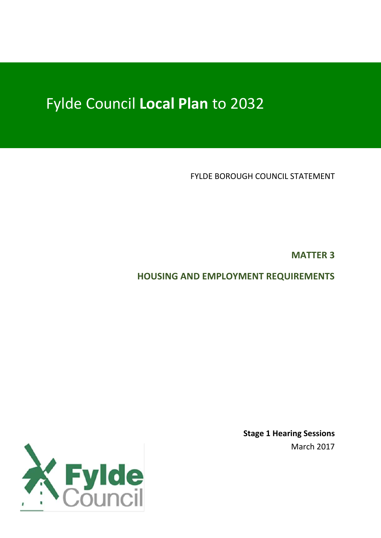# Fylde Council **Local Plan** to 2032

FYLDE BOROUGH COUNCIL STATEMENT

**MATTER 3**

**HOUSING AND EMPLOYMENT REQUIREMENTS**



**Stage 1 Hearing Sessions** March 2017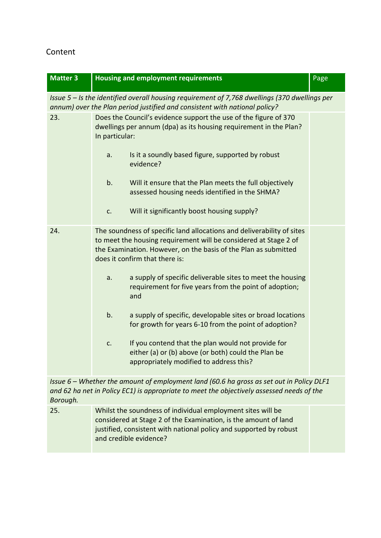## Content

| <b>Matter 3</b>                                                                                                                                                                                     | <b>Housing and employment requirements</b>                                                                                                                                                                                                      |  |  |  |  |  |
|-----------------------------------------------------------------------------------------------------------------------------------------------------------------------------------------------------|-------------------------------------------------------------------------------------------------------------------------------------------------------------------------------------------------------------------------------------------------|--|--|--|--|--|
| Issue 5 - Is the identified overall housing requirement of 7,768 dwellings (370 dwellings per<br>annum) over the Plan period justified and consistent with national policy?                         |                                                                                                                                                                                                                                                 |  |  |  |  |  |
| 23.                                                                                                                                                                                                 | Does the Council's evidence support the use of the figure of 370<br>dwellings per annum (dpa) as its housing requirement in the Plan?<br>In particular:                                                                                         |  |  |  |  |  |
|                                                                                                                                                                                                     | Is it a soundly based figure, supported by robust<br>a.<br>evidence?                                                                                                                                                                            |  |  |  |  |  |
|                                                                                                                                                                                                     | b.<br>Will it ensure that the Plan meets the full objectively<br>assessed housing needs identified in the SHMA?                                                                                                                                 |  |  |  |  |  |
|                                                                                                                                                                                                     | Will it significantly boost housing supply?<br>c.                                                                                                                                                                                               |  |  |  |  |  |
| 24.                                                                                                                                                                                                 | The soundness of specific land allocations and deliverability of sites<br>to meet the housing requirement will be considered at Stage 2 of<br>the Examination. However, on the basis of the Plan as submitted<br>does it confirm that there is: |  |  |  |  |  |
|                                                                                                                                                                                                     | a supply of specific deliverable sites to meet the housing<br>a.<br>requirement for five years from the point of adoption;<br>and                                                                                                               |  |  |  |  |  |
|                                                                                                                                                                                                     | b.<br>a supply of specific, developable sites or broad locations<br>for growth for years 6-10 from the point of adoption?                                                                                                                       |  |  |  |  |  |
|                                                                                                                                                                                                     | If you contend that the plan would not provide for<br>c.<br>either (a) or (b) above (or both) could the Plan be<br>appropriately modified to address this?                                                                                      |  |  |  |  |  |
| Issue $6$ – Whether the amount of employment land (60.6 ha gross as set out in Policy DLF1<br>and 62 ha net in Policy EC1) is appropriate to meet the objectively assessed needs of the<br>Borough. |                                                                                                                                                                                                                                                 |  |  |  |  |  |
| 25.                                                                                                                                                                                                 | Whilst the soundness of individual employment sites will be<br>considered at Stage 2 of the Examination, is the amount of land                                                                                                                  |  |  |  |  |  |

justified, consistent with national policy and supported by robust

and credible evidence?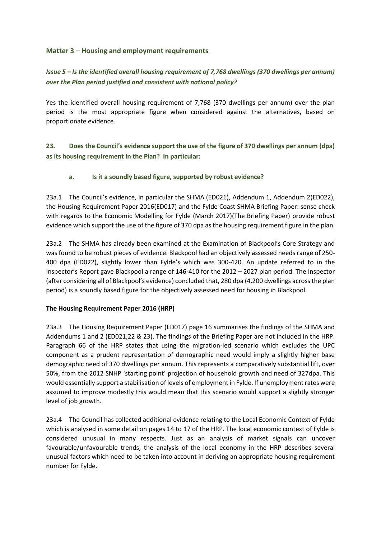#### **Matter 3 – Housing and employment requirements**

#### *Issue 5 – Is the identified overall housing requirement of 7,768 dwellings (370 dwellings per annum) over the Plan period justified and consistent with national policy?*

Yes the identified overall housing requirement of 7,768 (370 dwellings per annum) over the plan period is the most appropriate figure when considered against the alternatives, based on proportionate evidence.

**23. Does the Council's evidence support the use of the figure of 370 dwellings per annum (dpa) as its housing requirement in the Plan? In particular:**

#### **a. Is it a soundly based figure, supported by robust evidence?**

23a.1 The Council's evidence, in particular the SHMA (ED021), Addendum 1, Addendum 2(ED022), the Housing Requirement Paper 2016(ED017) and the Fylde Coast SHMA Briefing Paper: sense check with regards to the Economic Modelling for Fylde (March 2017)(The Briefing Paper) provide robust evidence which support the use of the figure of 370 dpa as the housing requirement figure in the plan.

23a.2 The SHMA has already been examined at the Examination of Blackpool's Core Strategy and was found to be robust pieces of evidence. Blackpool had an objectively assessed needs range of 250- 400 dpa (ED022), slightly lower than Fylde's which was 300-420. An update referred to in the Inspector's Report gave Blackpool a range of 146-410 for the 2012 – 2027 plan period. The Inspector (after considering all of Blackpool's evidence) concluded that, 280 dpa (4,200 dwellings across the plan period) is a soundly based figure for the objectively assessed need for housing in Blackpool.

#### **The Housing Requirement Paper 2016 (HRP)**

23a.3 The Housing Requirement Paper (ED017) page 16 summarises the findings of the SHMA and Addendums 1 and 2 (ED021,22 & 23). The findings of the Briefing Paper are not included in the HRP. Paragraph 66 of the HRP states that using the migration-led scenario which excludes the UPC component as a prudent representation of demographic need would imply a slightly higher base demographic need of 370 dwellings per annum. This represents a comparatively substantial lift, over 50%, from the 2012 SNHP 'starting point' projection of household growth and need of 327dpa. This would essentially support a stabilisation of levels of employment in Fylde. If unemployment rates were assumed to improve modestly this would mean that this scenario would support a slightly stronger level of job growth.

23a.4 The Council has collected additional evidence relating to the Local Economic Context of Fylde which is analysed in some detail on pages 14 to 17 of the HRP. The local economic context of Fylde is considered unusual in many respects. Just as an analysis of market signals can uncover favourable/unfavourable trends, the analysis of the local economy in the HRP describes several unusual factors which need to be taken into account in deriving an appropriate housing requirement number for Fylde.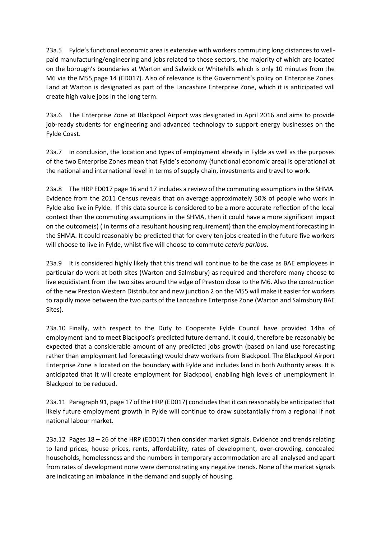23a.5 Fylde's functional economic area is extensive with workers commuting long distances to wellpaid manufacturing/engineering and jobs related to those sectors, the majority of which are located on the borough's boundaries at Warton and Salwick or Whitehills which is only 10 minutes from the M6 via the M55,page 14 (ED017). Also of relevance is the Government's policy on Enterprise Zones. Land at Warton is designated as part of the Lancashire Enterprise Zone, which it is anticipated will create high value jobs in the long term.

23a.6 The Enterprise Zone at Blackpool Airport was designated in April 2016 and aims to provide job-ready students for engineering and advanced technology to support energy businesses on the Fylde Coast.

23a.7 In conclusion, the location and types of employment already in Fylde as well as the purposes of the two Enterprise Zones mean that Fylde's economy (functional economic area) is operational at the national and international level in terms of supply chain, investments and travel to work.

23a.8 The HRP ED017 page 16 and 17 includes a review of the commuting assumptions in the SHMA. Evidence from the 2011 Census reveals that on average approximately 50% of people who work in Fylde also live in Fylde. If this data source is considered to be a more accurate reflection of the local context than the commuting assumptions in the SHMA, then it could have a more significant impact on the outcome(s) ( in terms of a resultant housing requirement) than the employment forecasting in the SHMA. It could reasonably be predicted that for every ten jobs created in the future five workers will choose to live in Fylde, whilst five will choose to commute *ceteris paribus*.

23a.9 It is considered highly likely that this trend will continue to be the case as BAE employees in particular do work at both sites (Warton and Salmsbury) as required and therefore many choose to live equidistant from the two sites around the edge of Preston close to the M6. Also the construction of the new Preston Western Distributor and new junction 2 on the M55 will make it easier for workers to rapidly move between the two parts of the Lancashire Enterprise Zone (Warton and Salmsbury BAE Sites).

23a.10 Finally, with respect to the Duty to Cooperate Fylde Council have provided 14ha of employment land to meet Blackpool's predicted future demand. It could, therefore be reasonably be expected that a considerable amount of any predicted jobs growth (based on land use forecasting rather than employment led forecasting) would draw workers from Blackpool. The Blackpool Airport Enterprise Zone is located on the boundary with Fylde and includes land in both Authority areas. It is anticipated that it will create employment for Blackpool, enabling high levels of unemployment in Blackpool to be reduced.

23a.11 Paragraph 91, page 17 of the HRP (ED017) concludes that it can reasonably be anticipated that likely future employment growth in Fylde will continue to draw substantially from a regional if not national labour market.

23a.12 Pages 18 – 26 of the HRP (ED017) then consider market signals. Evidence and trends relating to land prices, house prices, rents, affordability, rates of development, over-crowding, concealed households, homelessness and the numbers in temporary accommodation are all analysed and apart from rates of development none were demonstrating any negative trends. None of the market signals are indicating an imbalance in the demand and supply of housing.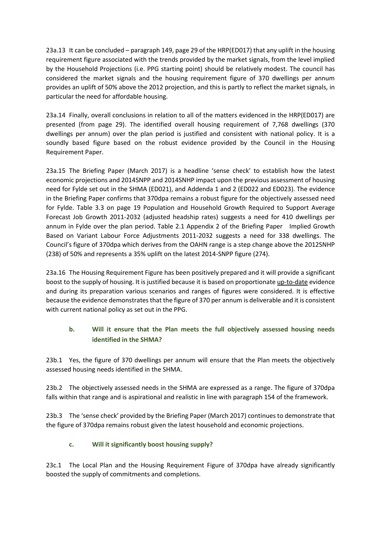23a.13 It can be concluded – paragraph 149, page 29 of the HRP(ED017) that any uplift in the housing requirement figure associated with the trends provided by the market signals, from the level implied by the Household Projections (i.e. PPG starting point) should be relatively modest. The council has considered the market signals and the housing requirement figure of 370 dwellings per annum provides an uplift of 50% above the 2012 projection, and this is partly to reflect the market signals, in particular the need for affordable housing.

23a.14 Finally, overall conclusions in relation to all of the matters evidenced in the HRP(ED017) are presented (from page 29). The identified overall housing requirement of 7,768 dwellings (370 dwellings per annum) over the plan period is justified and consistent with national policy. It is a soundly based figure based on the robust evidence provided by the Council in the Housing Requirement Paper.

23a.15 The Briefing Paper (March 2017) is a headline 'sense check' to establish how the latest economic projections and 2014SNPP and 2014SNHP impact upon the previous assessment of housing need for Fylde set out in the SHMA (ED021), and Addenda 1 and 2 (ED022 and ED023). The evidence in the Briefing Paper confirms that 370dpa remains a robust figure for the objectively assessed need for Fylde. Table 3.3 on page 19 Population and Household Growth Required to Support Average Forecast Job Growth 2011-2032 (adjusted headship rates) suggests a need for 410 dwellings per annum in Fylde over the plan period. Table 2.1 Appendix 2 of the Briefing Paper Implied Growth Based on Variant Labour Force Adjustments 2011-2032 suggests a need for 338 dwellings. The Council's figure of 370dpa which derives from the OAHN range is a step change above the 2012SNHP (238) of 50% and represents a 35% uplift on the latest 2014-SNPP figure (274).

23a.16 The Housing Requirement Figure has been positively prepared and it will provide a significant boost to the supply of housing. It is justified because it is based on proportionate up-to-date evidence and during its preparation various scenarios and ranges of figures were considered. It is effective because the evidence demonstrates that the figure of 370 per annum is deliverable and it is consistent with current national policy as set out in the PPG.

#### **b. Will it ensure that the Plan meets the full objectively assessed housing needs identified in the SHMA?**

23b.1 Yes, the figure of 370 dwellings per annum will ensure that the Plan meets the objectively assessed housing needs identified in the SHMA.

23b.2 The objectively assessed needs in the SHMA are expressed as a range. The figure of 370dpa falls within that range and is aspirational and realistic in line with paragraph 154 of the framework.

23b.3 The 'sense check' provided by the Briefing Paper (March 2017) continues to demonstrate that the figure of 370dpa remains robust given the latest household and economic projections.

#### **c. Will it significantly boost housing supply?**

23c.1 The Local Plan and the Housing Requirement Figure of 370dpa have already significantly boosted the supply of commitments and completions.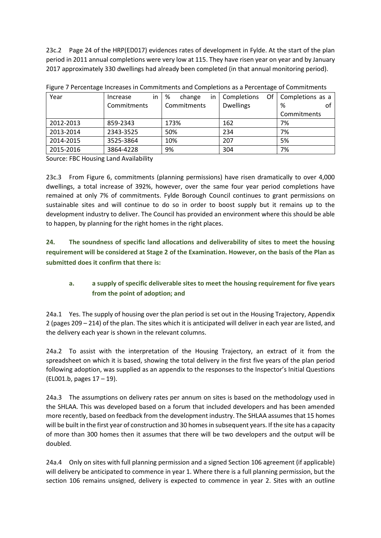23c.2 Page 24 of the HRP(ED017) evidences rates of development in Fylde. At the start of the plan period in 2011 annual completions were very low at 115. They have risen year on year and by January 2017 approximately 330 dwellings had already been completed (in that annual monitoring period).

| Year      | Increase<br>in. | %<br>change<br>in. | Of<br>Completions | Completions as a |
|-----------|-----------------|--------------------|-------------------|------------------|
|           | Commitments     | Commitments        | <b>Dwellings</b>  | %<br>O1          |
|           |                 |                    |                   | Commitments      |
| 2012-2013 | 859-2343        | 173%               | 162               | 7%               |
| 2013-2014 | 2343-3525       | 50%                | 234               | 7%               |
| 2014-2015 | 3525-3864       | 10%                | 207               | 5%               |
| 2015-2016 | 3864-4228       | 9%                 | 304               | 7%               |

Source: FBC Housing Land Availability

23c.3 From Figure 6, commitments (planning permissions) have risen dramatically to over 4,000 dwellings, a total increase of 392%, however, over the same four year period completions have remained at only 7% of commitments. Fylde Borough Council continues to grant permissions on sustainable sites and will continue to do so in order to boost supply but it remains up to the development industry to deliver. The Council has provided an environment where this should be able to happen, by planning for the right homes in the right places.

**24. The soundness of specific land allocations and deliverability of sites to meet the housing requirement will be considered at Stage 2 of the Examination. However, on the basis of the Plan as submitted does it confirm that there is:**

#### **a. a supply of specific deliverable sites to meet the housing requirement for five years from the point of adoption; and**

24a.1 Yes. The supply of housing over the plan period is set out in the Housing Trajectory, Appendix 2 (pages 209 – 214) of the plan. The sites which it is anticipated will deliver in each year are listed, and the delivery each year is shown in the relevant columns.

24a.2 To assist with the interpretation of the Housing Trajectory, an extract of it from the spreadsheet on which it is based, showing the total delivery in the first five years of the plan period following adoption, was supplied as an appendix to the responses to the Inspector's Initial Questions (EL001.b, pages 17 – 19).

24a.3 The assumptions on delivery rates per annum on sites is based on the methodology used in the SHLAA. This was developed based on a forum that included developers and has been amended more recently, based on feedback from the development industry. The SHLAA assumes that 15 homes will be built in the first year of construction and 30 homes in subsequent years. If the site has a capacity of more than 300 homes then it assumes that there will be two developers and the output will be doubled.

24a.4 Only on sites with full planning permission and a signed Section 106 agreement (if applicable) will delivery be anticipated to commence in year 1. Where there is a full planning permission, but the section 106 remains unsigned, delivery is expected to commence in year 2. Sites with an outline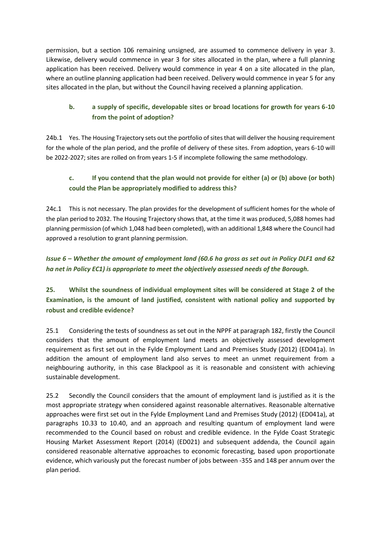permission, but a section 106 remaining unsigned, are assumed to commence delivery in year 3. Likewise, delivery would commence in year 3 for sites allocated in the plan, where a full planning application has been received. Delivery would commence in year 4 on a site allocated in the plan, where an outline planning application had been received. Delivery would commence in year 5 for any sites allocated in the plan, but without the Council having received a planning application.

## **b. a supply of specific, developable sites or broad locations for growth for years 6-10 from the point of adoption?**

24b.1 Yes. The Housing Trajectory sets out the portfolio of sites that will deliver the housing requirement for the whole of the plan period, and the profile of delivery of these sites. From adoption, years 6-10 will be 2022-2027; sites are rolled on from years 1-5 if incomplete following the same methodology.

## **c. If you contend that the plan would not provide for either (a) or (b) above (or both) could the Plan be appropriately modified to address this?**

24c.1 This is not necessary. The plan provides for the development of sufficient homes for the whole of the plan period to 2032. The Housing Trajectory shows that, at the time it was produced, 5,088 homes had planning permission (of which 1,048 had been completed), with an additional 1,848 where the Council had approved a resolution to grant planning permission.

## *Issue 6 – Whether the amount of employment land (60.6 ha gross as set out in Policy DLF1 and 62 ha net in Policy EC1) is appropriate to meet the objectively assessed needs of the Borough.*

**25. Whilst the soundness of individual employment sites will be considered at Stage 2 of the Examination, is the amount of land justified, consistent with national policy and supported by robust and credible evidence?** 

25.1 Considering the tests of soundness as set out in the NPPF at paragraph 182, firstly the Council considers that the amount of employment land meets an objectively assessed development requirement as first set out in the Fylde Employment Land and Premises Study (2012) (ED041a). In addition the amount of employment land also serves to meet an unmet requirement from a neighbouring authority, in this case Blackpool as it is reasonable and consistent with achieving sustainable development.

25.2 Secondly the Council considers that the amount of employment land is justified as it is the most appropriate strategy when considered against reasonable alternatives. Reasonable alternative approaches were first set out in the Fylde Employment Land and Premises Study (2012) (ED041a), at paragraphs 10.33 to 10.40, and an approach and resulting quantum of employment land were recommended to the Council based on robust and credible evidence. In the Fylde Coast Strategic Housing Market Assessment Report (2014) (ED021) and subsequent addenda, the Council again considered reasonable alternative approaches to economic forecasting, based upon proportionate evidence, which variously put the forecast number of jobs between -355 and 148 per annum over the plan period.